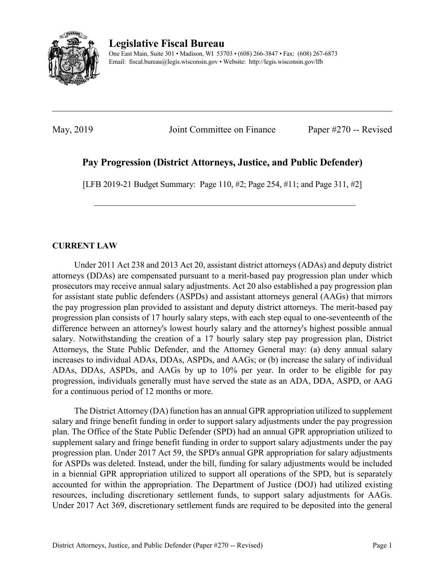

**Legislative Fiscal Bureau**

One East Main, Suite 301 • Madison, WI 53703 • (608) 266-3847 • Fax: (608) 267-6873 Email: fiscal.bureau@legis.wisconsin.gov • Website:<http://legis.wisconsin.gov/lfb>

May, 2019 **Ioint Committee on Finance** Paper #270 -- Revised

# **Pay Progression (District Attorneys, Justice, and Public Defender)**

[LFB 2019-21 Budget Summary: Page 110, #2; Page 254, #11; and Page 311, #2]

# **CURRENT LAW**

Under 2011 Act 238 and 2013 Act 20, assistant district attorneys (ADAs) and deputy district attorneys (DDAs) are compensated pursuant to a merit-based pay progression plan under which prosecutors may receive annual salary adjustments. Act 20 also established a pay progression plan for assistant state public defenders (ASPDs) and assistant attorneys general (AAGs) that mirrors the pay progression plan provided to assistant and deputy district attorneys. The merit-based pay progression plan consists of 17 hourly salary steps, with each step equal to one-seventeenth of the difference between an attorney's lowest hourly salary and the attorney's highest possible annual salary. Notwithstanding the creation of a 17 hourly salary step pay progression plan, District Attorneys, the State Public Defender, and the Attorney General may: (a) deny annual salary increases to individual ADAs, DDAs, ASPDs, and AAGs; or (b) increase the salary of individual ADAs, DDAs, ASPDs, and AAGs by up to 10% per year. In order to be eligible for pay progression, individuals generally must have served the state as an ADA, DDA, ASPD, or AAG for a continuous period of 12 months or more.

The District Attorney (DA) function has an annual GPR appropriation utilized to supplement salary and fringe benefit funding in order to support salary adjustments under the pay progression plan. The Office of the State Public Defender (SPD) had an annual GPR appropriation utilized to supplement salary and fringe benefit funding in order to support salary adjustments under the pay progression plan. Under 2017 Act 59, the SPD's annual GPR appropriation for salary adjustments for ASPDs was deleted. Instead, under the bill, funding for salary adjustments would be included in a biennial GPR appropriation utilized to support all operations of the SPD, but is separately accounted for within the appropriation. The Department of Justice (DOJ) had utilized existing resources, including discretionary settlement funds, to support salary adjustments for AAGs. Under 2017 Act 369, discretionary settlement funds are required to be deposited into the general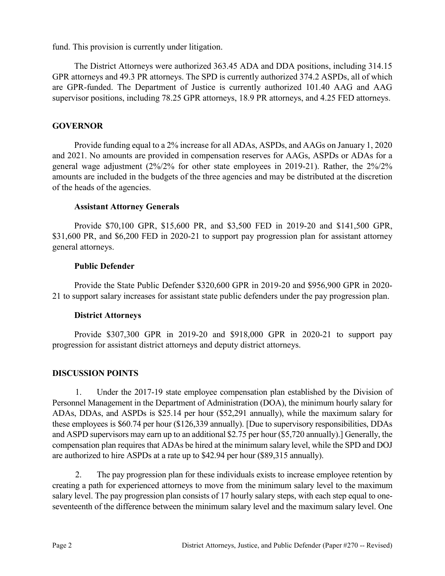fund. This provision is currently under litigation.

The District Attorneys were authorized 363.45 ADA and DDA positions, including 314.15 GPR attorneys and 49.3 PR attorneys. The SPD is currently authorized 374.2 ASPDs, all of which are GPR-funded. The Department of Justice is currently authorized 101.40 AAG and AAG supervisor positions, including 78.25 GPR attorneys, 18.9 PR attorneys, and 4.25 FED attorneys.

# **GOVERNOR**

Provide funding equal to a 2% increase for all ADAs, ASPDs, and AAGs on January 1, 2020 and 2021. No amounts are provided in compensation reserves for AAGs, ASPDs or ADAs for a general wage adjustment (2%/2% for other state employees in 2019-21). Rather, the 2%/2% amounts are included in the budgets of the three agencies and may be distributed at the discretion of the heads of the agencies.

# **Assistant Attorney Generals**

Provide \$70,100 GPR, \$15,600 PR, and \$3,500 FED in 2019-20 and \$141,500 GPR, \$31,600 PR, and \$6,200 FED in 2020-21 to support pay progression plan for assistant attorney general attorneys.

### **Public Defender**

Provide the State Public Defender \$320,600 GPR in 2019-20 and \$956,900 GPR in 2020- 21 to support salary increases for assistant state public defenders under the pay progression plan.

# **District Attorneys**

Provide \$307,300 GPR in 2019-20 and \$918,000 GPR in 2020-21 to support pay progression for assistant district attorneys and deputy district attorneys.

# **DISCUSSION POINTS**

1. Under the 2017-19 state employee compensation plan established by the Division of Personnel Management in the Department of Administration (DOA), the minimum hourly salary for ADAs, DDAs, and ASPDs is \$25.14 per hour (\$52,291 annually), while the maximum salary for these employees is \$60.74 per hour (\$126,339 annually). [Due to supervisory responsibilities, DDAs and ASPD supervisors may earn up to an additional \$2.75 per hour (\$5,720 annually).] Generally, the compensation plan requires that ADAs be hired at the minimum salary level, while the SPD and DOJ are authorized to hire ASPDs at a rate up to \$42.94 per hour (\$89,315 annually).

2. The pay progression plan for these individuals exists to increase employee retention by creating a path for experienced attorneys to move from the minimum salary level to the maximum salary level. The pay progression plan consists of 17 hourly salary steps, with each step equal to oneseventeenth of the difference between the minimum salary level and the maximum salary level. One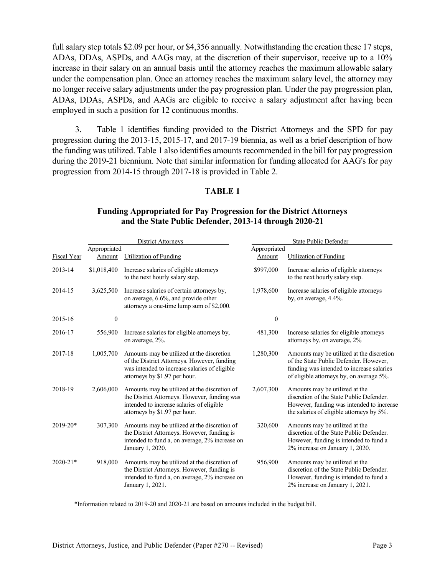full salary step totals \$2.09 per hour, or \$4,356 annually. Notwithstanding the creation these 17 steps, ADAs, DDAs, ASPDs, and AAGs may, at the discretion of their supervisor, receive up to a 10% increase in their salary on an annual basis until the attorney reaches the maximum allowable salary under the compensation plan. Once an attorney reaches the maximum salary level, the attorney may no longer receive salary adjustments under the pay progression plan. Under the pay progression plan, ADAs, DDAs, ASPDs, and AAGs are eligible to receive a salary adjustment after having been employed in such a position for 12 continuous months.

3. Table 1 identifies funding provided to the District Attorneys and the SPD for pay progression during the 2013-15, 2015-17, and 2017-19 biennia, as well as a brief description of how the funding was utilized. Table 1 also identifies amounts recommended in the bill for pay progression during the 2019-21 biennium. Note that similar information for funding allocated for AAG's for pay progression from 2014-15 through 2017-18 is provided in Table 2.

### **TABLE 1**

|              |              | <b>District Attorneys</b>                                                                                                                                                  | State Public Defender |                                                                                                                                                                              |  |  |
|--------------|--------------|----------------------------------------------------------------------------------------------------------------------------------------------------------------------------|-----------------------|------------------------------------------------------------------------------------------------------------------------------------------------------------------------------|--|--|
|              | Appropriated |                                                                                                                                                                            | Appropriated          |                                                                                                                                                                              |  |  |
| Fiscal Year  | Amount       | <b>Utilization of Funding</b>                                                                                                                                              | Amount                | <b>Utilization of Funding</b>                                                                                                                                                |  |  |
| 2013-14      | \$1,018,400  | Increase salaries of eligible attorneys<br>to the next hourly salary step.                                                                                                 | \$997,000             | Increase salaries of eligible attorneys<br>to the next hourly salary step.                                                                                                   |  |  |
| 2014-15      | 3,625,500    | Increase salaries of certain attorneys by,<br>on average, 6.6%, and provide other<br>attorneys a one-time lump sum of \$2,000.                                             | 1,978,600             | Increase salaries of eligible attorneys<br>by, on average, 4.4%.                                                                                                             |  |  |
| 2015-16      | $\mathbf{0}$ |                                                                                                                                                                            | $\mathbf{0}$          |                                                                                                                                                                              |  |  |
| 2016-17      | 556,900      | Increase salaries for eligible attorneys by,<br>on average, 2%.                                                                                                            | 481,300               | Increase salaries for eligible attorneys<br>attorneys by, on average, 2%                                                                                                     |  |  |
| 2017-18      | 1,005,700    | Amounts may be utilized at the discretion<br>of the District Attorneys. However, funding<br>was intended to increase salaries of eligible<br>attorneys by \$1.97 per hour. | 1,280,300             | Amounts may be utilized at the discretion<br>of the State Public Defender. However,<br>funding was intended to increase salaries<br>of eligible attorneys by, on average 5%. |  |  |
| 2018-19      | 2,606,000    | Amounts may be utilized at the discretion of<br>the District Attorneys. However, funding was<br>intended to increase salaries of eligible<br>attorneys by \$1.97 per hour. | 2,607,300             | Amounts may be utilized at the<br>discretion of the State Public Defender.<br>However, funding was intended to increase<br>the salaries of eligible attorneys by 5%.         |  |  |
| $2019 - 20*$ | 307,300      | Amounts may be utilized at the discretion of<br>the District Attorneys. However, funding is<br>intended to fund a, on average, 2% increase on<br>January 1, 2020.          | 320,600               | Amounts may be utilized at the<br>discretion of the State Public Defender.<br>However, funding is intended to fund a<br>2% increase on January 1, 2020.                      |  |  |
| $2020 - 21*$ | 918,000      | Amounts may be utilized at the discretion of<br>the District Attorneys. However, funding is<br>intended to fund a, on average, 2% increase on<br>January 1, 2021.          | 956,900               | Amounts may be utilized at the<br>discretion of the State Public Defender.<br>However, funding is intended to fund a<br>2% increase on January 1, 2021.                      |  |  |

### **Funding Appropriated for Pay Progression for the District Attorneys and the State Public Defender, 2013-14 through 2020-21**

\*Information related to 2019-20 and 2020-21 are based on amounts included in the budget bill.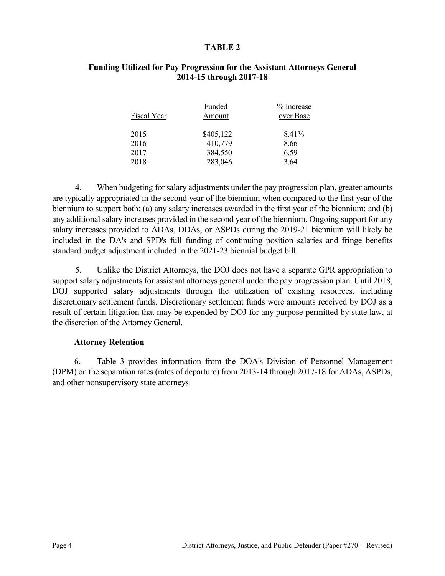#### **TABLE 2**

| % Increase<br>over Base |
|-------------------------|
| 8.41%                   |
|                         |
|                         |
|                         |
| 8.66                    |

### **Funding Utilized for Pay Progression for the Assistant Attorneys General 2014-15 through 2017-18**

4. When budgeting for salary adjustments under the pay progression plan, greater amounts are typically appropriated in the second year of the biennium when compared to the first year of the biennium to support both: (a) any salary increases awarded in the first year of the biennium; and (b) any additional salary increases provided in the second year of the biennium. Ongoing support for any salary increases provided to ADAs, DDAs, or ASPDs during the 2019-21 biennium will likely be included in the DA's and SPD's full funding of continuing position salaries and fringe benefits standard budget adjustment included in the 2021-23 biennial budget bill.

5. Unlike the District Attorneys, the DOJ does not have a separate GPR appropriation to support salary adjustments for assistant attorneys general under the pay progression plan. Until 2018, DOJ supported salary adjustments through the utilization of existing resources, including discretionary settlement funds. Discretionary settlement funds were amounts received by DOJ as a result of certain litigation that may be expended by DOJ for any purpose permitted by state law, at the discretion of the Attorney General.

#### **Attorney Retention**

6. Table 3 provides information from the DOA's Division of Personnel Management (DPM) on the separation rates (rates of departure) from 2013-14 through 2017-18 for ADAs, ASPDs, and other nonsupervisory state attorneys.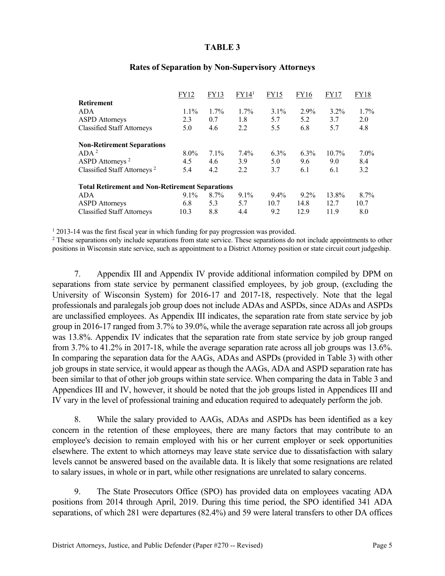#### **TABLE 3**

|                                                        | FY12    | FY13    | FY14 <sup>1</sup> | FY15    | FY16    | FY17     | FY18    |
|--------------------------------------------------------|---------|---------|-------------------|---------|---------|----------|---------|
| <b>Retirement</b>                                      |         |         |                   |         |         |          |         |
| ADA                                                    | $1.1\%$ | $1.7\%$ | $1.7\%$           | $3.1\%$ | 2.9%    | $3.2\%$  | $1.7\%$ |
| <b>ASPD</b> Attorneys                                  | 2.3     | 0.7     | 1.8               | 5.7     | 5.2     | 3.7      | 2.0     |
| <b>Classified Staff Attorneys</b>                      | 5.0     | 4.6     | 2.2               | 5.5     | 6.8     | 5.7      | 4.8     |
| <b>Non-Retirement Separations</b>                      |         |         |                   |         |         |          |         |
| ADA <sup>2</sup>                                       | $8.0\%$ | $7.1\%$ | 7.4%              | $6.3\%$ | $6.3\%$ | $10.7\%$ | $7.0\%$ |
| ASPD Attorneys <sup>2</sup>                            | 4.5     | 4.6     | 3.9               | 5.0     | 9.6     | 9.0      | 8.4     |
| Classified Staff Attorneys <sup>2</sup>                | 5.4     | 4.2     | 2.2               | 3.7     | 6.1     | 6.1      | 3.2     |
| <b>Total Retirement and Non-Retirement Separations</b> |         |         |                   |         |         |          |         |
| ADA                                                    | $9.1\%$ | $8.7\%$ | $9.1\%$           | $9.4\%$ | $9.2\%$ | 13.8%    | $8.7\%$ |
| <b>ASPD</b> Attorneys                                  | 6.8     | 5.3     | 5.7               | 10.7    | 14.8    | 12.7     | 10.7    |
| <b>Classified Staff Attorneys</b>                      | 10.3    | 8.8     | 4.4               | 9.2     | 12.9    | 11.9     | 8.0     |

#### **Rates of Separation by Non-Supervisory Attorneys**

<sup>1</sup> 2013-14 was the first fiscal year in which funding for pay progression was provided.<br><sup>2</sup> These separations only include separations from state service. These separations do not include appointments to other positions in Wisconsin state service, such as appointment to a District Attorney position or state circuit court judgeship.

7. Appendix III and Appendix IV provide additional information compiled by DPM on separations from state service by permanent classified employees, by job group, (excluding the University of Wisconsin System) for 2016-17 and 2017-18, respectively. Note that the legal professionals and paralegals job group does not include ADAs and ASPDs, since ADAs and ASPDs are unclassified employees. As Appendix III indicates, the separation rate from state service by job group in 2016-17 ranged from 3.7% to 39.0%, while the average separation rate across all job groups was 13.8%. Appendix IV indicates that the separation rate from state service by job group ranged from 3.7% to 41.2% in 2017-18, while the average separation rate across all job groups was 13.6%. In comparing the separation data for the AAGs, ADAs and ASPDs (provided in Table 3) with other job groups in state service, it would appear as though the AAGs, ADA and ASPD separation rate has been similar to that of other job groups within state service. When comparing the data in Table 3 and Appendices III and IV, however, it should be noted that the job groups listed in Appendices III and IV vary in the level of professional training and education required to adequately perform the job.

8. While the salary provided to AAGs, ADAs and ASPDs has been identified as a key concern in the retention of these employees, there are many factors that may contribute to an employee's decision to remain employed with his or her current employer or seek opportunities elsewhere. The extent to which attorneys may leave state service due to dissatisfaction with salary levels cannot be answered based on the available data. It is likely that some resignations are related to salary issues, in whole or in part, while other resignations are unrelated to salary concerns.

9. The State Prosecutors Office (SPO) has provided data on employees vacating ADA positions from 2014 through April, 2019. During this time period, the SPO identified 341 ADA separations, of which 281 were departures (82.4%) and 59 were lateral transfers to other DA offices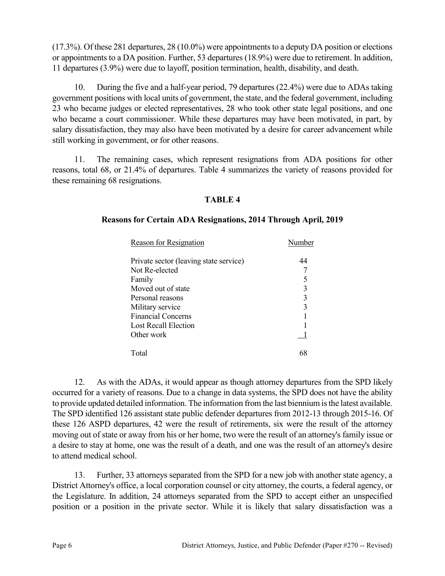(17.3%). Of these 281 departures, 28 (10.0%) were appointments to a deputy DA position or elections or appointments to a DA position. Further, 53 departures (18.9%) were due to retirement. In addition, 11 departures (3.9%) were due to layoff, position termination, health, disability, and death.

10. During the five and a half-year period, 79 departures (22.4%) were due to ADAs taking government positions with local units of government, the state, and the federal government, including 23 who became judges or elected representatives, 28 who took other state legal positions, and one who became a court commissioner. While these departures may have been motivated, in part, by salary dissatisfaction, they may also have been motivated by a desire for career advancement while still working in government, or for other reasons.

11. The remaining cases, which represent resignations from ADA positions for other reasons, total 68, or 21.4% of departures. Table 4 summarizes the variety of reasons provided for these remaining 68 resignations.

# **TABLE 4**

### **Reasons for Certain ADA Resignations, 2014 Through April, 2019**

| Reason for Resignation                 | Number |
|----------------------------------------|--------|
| Private sector (leaving state service) | 44     |
| Not Re-elected                         |        |
| Family                                 |        |
| Moved out of state                     | 3      |
| Personal reasons                       | 3      |
| Military service                       | 3      |
| <b>Financial Concerns</b>              |        |
| Lost Recall Election                   |        |
| Other work                             |        |
| Total                                  |        |

12. As with the ADAs, it would appear as though attorney departures from the SPD likely occurred for a variety of reasons. Due to a change in data systems, the SPD does not have the ability to provide updated detailed information. The information from the last biennium is the latest available. The SPD identified 126 assistant state public defender departures from 2012-13 through 2015-16. Of these 126 ASPD departures, 42 were the result of retirements, six were the result of the attorney moving out of state or away from his or her home, two were the result of an attorney's family issue or a desire to stay at home, one was the result of a death, and one was the result of an attorney's desire to attend medical school.

13. Further, 33 attorneys separated from the SPD for a new job with another state agency, a District Attorney's office, a local corporation counsel or city attorney, the courts, a federal agency, or the Legislature. In addition, 24 attorneys separated from the SPD to accept either an unspecified position or a position in the private sector. While it is likely that salary dissatisfaction was a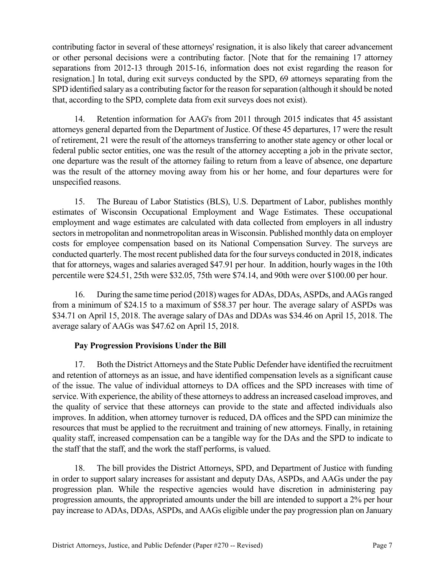contributing factor in several of these attorneys' resignation, it is also likely that career advancement or other personal decisions were a contributing factor. [Note that for the remaining 17 attorney separations from 2012-13 through 2015-16, information does not exist regarding the reason for resignation.] In total, during exit surveys conducted by the SPD, 69 attorneys separating from the SPD identified salary as a contributing factor for the reason for separation (although it should be noted that, according to the SPD, complete data from exit surveys does not exist).

14. Retention information for AAG's from 2011 through 2015 indicates that 45 assistant attorneys general departed from the Department of Justice. Of these 45 departures, 17 were the result of retirement, 21 were the result of the attorneys transferring to another state agency or other local or federal public sector entities, one was the result of the attorney accepting a job in the private sector, one departure was the result of the attorney failing to return from a leave of absence, one departure was the result of the attorney moving away from his or her home, and four departures were for unspecified reasons.

15. The Bureau of Labor Statistics (BLS), U.S. Department of Labor, publishes monthly estimates of Wisconsin Occupational Employment and Wage Estimates. These occupational employment and wage estimates are calculated with data collected from employers in all industry sectors in metropolitan and nonmetropolitan areas in Wisconsin. Published monthly data on employer costs for employee compensation based on its National Compensation Survey. The surveys are conducted quarterly. The most recent published data for the four surveys conducted in 2018, indicates that for attorneys, wages and salaries averaged \$47.91 per hour. In addition, hourly wages in the 10th percentile were \$24.51, 25th were \$32.05, 75th were \$74.14, and 90th were over \$100.00 per hour.

16. During the same time period (2018) wages for ADAs, DDAs, ASPDs, and AAGs ranged from a minimum of \$24.15 to a maximum of \$58.37 per hour. The average salary of ASPDs was \$34.71 on April 15, 2018. The average salary of DAs and DDAs was \$34.46 on April 15, 2018. The average salary of AAGs was \$47.62 on April 15, 2018.

# **Pay Progression Provisions Under the Bill**

17. Both the District Attorneys and the State Public Defender have identified the recruitment and retention of attorneys as an issue, and have identified compensation levels as a significant cause of the issue. The value of individual attorneys to DA offices and the SPD increases with time of service. With experience, the ability of these attorneys to address an increased caseload improves, and the quality of service that these attorneys can provide to the state and affected individuals also improves. In addition, when attorney turnover is reduced, DA offices and the SPD can minimize the resources that must be applied to the recruitment and training of new attorneys. Finally, in retaining quality staff, increased compensation can be a tangible way for the DAs and the SPD to indicate to the staff that the staff, and the work the staff performs, is valued.

18. The bill provides the District Attorneys, SPD, and Department of Justice with funding in order to support salary increases for assistant and deputy DAs, ASPDs, and AAGs under the pay progression plan. While the respective agencies would have discretion in administering pay progression amounts, the appropriated amounts under the bill are intended to support a 2% per hour pay increase to ADAs, DDAs, ASPDs, and AAGs eligible under the pay progression plan on January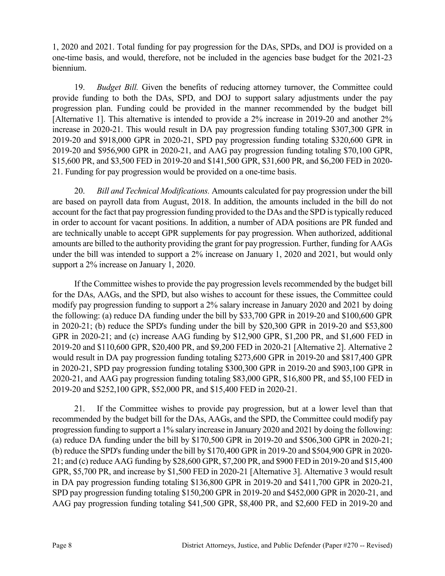1, 2020 and 2021. Total funding for pay progression for the DAs, SPDs, and DOJ is provided on a one-time basis, and would, therefore, not be included in the agencies base budget for the 2021-23 biennium.

19. *Budget Bill.* Given the benefits of reducing attorney turnover, the Committee could provide funding to both the DAs, SPD, and DOJ to support salary adjustments under the pay progression plan. Funding could be provided in the manner recommended by the budget bill [Alternative 1]. This alternative is intended to provide a 2% increase in 2019-20 and another 2% increase in 2020-21. This would result in DA pay progression funding totaling \$307,300 GPR in 2019-20 and \$918,000 GPR in 2020-21, SPD pay progression funding totaling \$320,600 GPR in 2019-20 and \$956,900 GPR in 2020-21, and AAG pay progression funding totaling \$70,100 GPR, \$15,600 PR, and \$3,500 FED in 2019-20 and \$141,500 GPR, \$31,600 PR, and \$6,200 FED in 2020- 21. Funding for pay progression would be provided on a one-time basis.

20. *Bill and Technical Modifications.* Amounts calculated for pay progression under the bill are based on payroll data from August, 2018. In addition, the amounts included in the bill do not account for the fact that pay progression funding provided to the DAs and the SPD is typically reduced in order to account for vacant positions. In addition, a number of ADA positions are PR funded and are technically unable to accept GPR supplements for pay progression. When authorized, additional amounts are billed to the authority providing the grant for pay progression. Further, funding for AAGs under the bill was intended to support a 2% increase on January 1, 2020 and 2021, but would only support a 2% increase on January 1, 2020.

If the Committee wishes to provide the pay progression levels recommended by the budget bill for the DAs, AAGs, and the SPD, but also wishes to account for these issues, the Committee could modify pay progression funding to support a 2% salary increase in January 2020 and 2021 by doing the following: (a) reduce DA funding under the bill by \$33,700 GPR in 2019-20 and \$100,600 GPR in 2020-21; (b) reduce the SPD's funding under the bill by \$20,300 GPR in 2019-20 and \$53,800 GPR in 2020-21; and (c) increase AAG funding by \$12,900 GPR, \$1,200 PR, and \$1,600 FED in 2019-20 and \$110,600 GPR, \$20,400 PR, and \$9,200 FED in 2020-21 [Alternative 2]. Alternative 2 would result in DA pay progression funding totaling \$273,600 GPR in 2019-20 and \$817,400 GPR in 2020-21, SPD pay progression funding totaling \$300,300 GPR in 2019-20 and \$903,100 GPR in 2020-21, and AAG pay progression funding totaling \$83,000 GPR, \$16,800 PR, and \$5,100 FED in 2019-20 and \$252,100 GPR, \$52,000 PR, and \$15,400 FED in 2020-21.

21. If the Committee wishes to provide pay progression, but at a lower level than that recommended by the budget bill for the DAs, AAGs, and the SPD, the Committee could modify pay progression funding to support a 1% salary increase in January 2020 and 2021 by doing the following: (a) reduce DA funding under the bill by \$170,500 GPR in 2019-20 and \$506,300 GPR in 2020-21; (b) reduce the SPD's funding under the bill by \$170,400 GPR in 2019-20 and \$504,900 GPR in 2020- 21; and (c) reduce AAG funding by \$28,600 GPR, \$7,200 PR, and \$900 FED in 2019-20 and \$15,400 GPR, \$5,700 PR, and increase by \$1,500 FED in 2020-21 [Alternative 3]. Alternative 3 would result in DA pay progression funding totaling \$136,800 GPR in 2019-20 and \$411,700 GPR in 2020-21, SPD pay progression funding totaling \$150,200 GPR in 2019-20 and \$452,000 GPR in 2020-21, and AAG pay progression funding totaling \$41,500 GPR, \$8,400 PR, and \$2,600 FED in 2019-20 and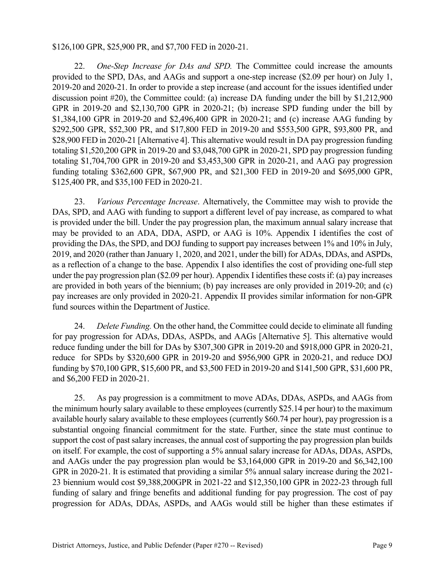#### \$126,100 GPR, \$25,900 PR, and \$7,700 FED in 2020-21.

22. *One-Step Increase for DAs and SPD.* The Committee could increase the amounts provided to the SPD, DAs, and AAGs and support a one-step increase (\$2.09 per hour) on July 1, 2019-20 and 2020-21. In order to provide a step increase (and account for the issues identified under discussion point #20), the Committee could: (a) increase DA funding under the bill by \$1,212,900 GPR in 2019-20 and \$2,130,700 GPR in 2020-21; (b) increase SPD funding under the bill by \$1,384,100 GPR in 2019-20 and \$2,496,400 GPR in 2020-21; and (c) increase AAG funding by \$292,500 GPR, \$52,300 PR, and \$17,800 FED in 2019-20 and \$553,500 GPR, \$93,800 PR, and \$28,900 FED in 2020-21 [Alternative 4]. This alternative would result in DA pay progression funding totaling \$1,520,200 GPR in 2019-20 and \$3,048,700 GPR in 2020-21, SPD pay progression funding totaling \$1,704,700 GPR in 2019-20 and \$3,453,300 GPR in 2020-21, and AAG pay progression funding totaling \$362,600 GPR, \$67,900 PR, and \$21,300 FED in 2019-20 and \$695,000 GPR, \$125,400 PR, and \$35,100 FED in 2020-21.

23. *Various Percentage Increase*. Alternatively, the Committee may wish to provide the DAs, SPD, and AAG with funding to support a different level of pay increase, as compared to what is provided under the bill. Under the pay progression plan, the maximum annual salary increase that may be provided to an ADA, DDA, ASPD, or AAG is 10%. Appendix I identifies the cost of providing the DAs, the SPD, and DOJ funding to support pay increases between 1% and 10% in July, 2019, and 2020 (rather than January 1, 2020, and 2021, under the bill) for ADAs, DDAs, and ASPDs, as a reflection of a change to the base. Appendix I also identifies the cost of providing one-full step under the pay progression plan (\$2.09 per hour). Appendix I identifies these costs if: (a) pay increases are provided in both years of the biennium; (b) pay increases are only provided in 2019-20; and (c) pay increases are only provided in 2020-21. Appendix II provides similar information for non-GPR fund sources within the Department of Justice.

24. *Delete Funding.* On the other hand, the Committee could decide to eliminate all funding for pay progression for ADAs, DDAs, ASPDs, and AAGs [Alternative 5]. This alternative would reduce funding under the bill for DAs by \$307,300 GPR in 2019-20 and \$918,000 GPR in 2020-21, reduce for SPDs by \$320,600 GPR in 2019-20 and \$956,900 GPR in 2020-21, and reduce DOJ funding by \$70,100 GPR, \$15,600 PR, and \$3,500 FED in 2019-20 and \$141,500 GPR, \$31,600 PR, and \$6,200 FED in 2020-21.

25. As pay progression is a commitment to move ADAs, DDAs, ASPDs, and AAGs from the minimum hourly salary available to these employees (currently \$25.14 per hour) to the maximum available hourly salary available to these employees (currently \$60.74 per hour), pay progression is a substantial ongoing financial commitment for the state. Further, since the state must continue to support the cost of past salary increases, the annual cost of supporting the pay progression plan builds on itself. For example, the cost of supporting a 5% annual salary increase for ADAs, DDAs, ASPDs, and AAGs under the pay progression plan would be \$3,164,000 GPR in 2019-20 and \$6,342,100 GPR in 2020-21. It is estimated that providing a similar 5% annual salary increase during the 2021- 23 biennium would cost \$9,388,200GPR in 2021-22 and \$12,350,100 GPR in 2022-23 through full funding of salary and fringe benefits and additional funding for pay progression. The cost of pay progression for ADAs, DDAs, ASPDs, and AAGs would still be higher than these estimates if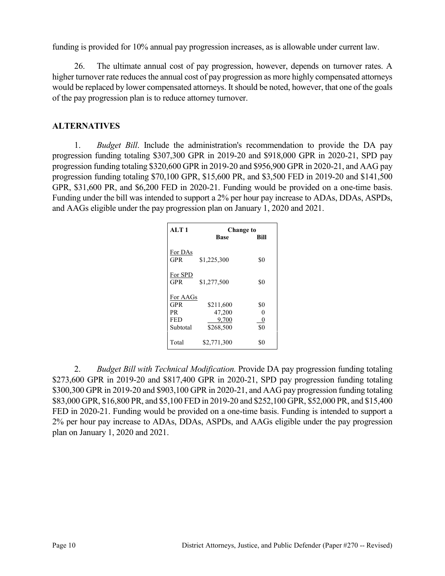funding is provided for 10% annual pay progression increases, as is allowable under current law.

26. The ultimate annual cost of pay progression, however, depends on turnover rates. A higher turnover rate reduces the annual cost of pay progression as more highly compensated attorneys would be replaced by lower compensated attorneys. It should be noted, however, that one of the goals of the pay progression plan is to reduce attorney turnover.

# **ALTERNATIVES**

1. *Budget Bill*. Include the administration's recommendation to provide the DA pay progression funding totaling \$307,300 GPR in 2019-20 and \$918,000 GPR in 2020-21, SPD pay progression funding totaling \$320,600 GPR in 2019-20 and \$956,900 GPR in 2020-21, and AAG pay progression funding totaling \$70,100 GPR, \$15,600 PR, and \$3,500 FED in 2019-20 and \$141,500 GPR, \$31,600 PR, and \$6,200 FED in 2020-21. Funding would be provided on a one-time basis. Funding under the bill was intended to support a 2% per hour pay increase to ADAs, DDAs, ASPDs, and AAGs eligible under the pay progression plan on January 1, 2020 and 2021.

| AI.T1           | <b>Change to</b>    |      |
|-----------------|---------------------|------|
|                 | <b>Base</b>         | Bill |
| For DAs<br>GPR  | \$1,225,300         | \$0  |
| For SPD<br>GPR  | \$1,277,500         | \$0  |
| For AAGs<br>GPR |                     | \$0  |
| PR              | \$211,600<br>47,200 | 0    |
| <b>FED</b>      | 9.700               | 0    |
| Subtotal        | \$268,500           | \$0  |
| Total           | \$2,771,300         | \$0  |

2. *Budget Bill with Technical Modification.* Provide DA pay progression funding totaling \$273,600 GPR in 2019-20 and \$817,400 GPR in 2020-21, SPD pay progression funding totaling \$300,300 GPR in 2019-20 and \$903,100 GPR in 2020-21, and AAG pay progression funding totaling \$83,000 GPR, \$16,800 PR, and \$5,100 FED in 2019-20 and \$252,100 GPR, \$52,000 PR, and \$15,400 FED in 2020-21. Funding would be provided on a one-time basis. Funding is intended to support a 2% per hour pay increase to ADAs, DDAs, ASPDs, and AAGs eligible under the pay progression plan on January 1, 2020 and 2021.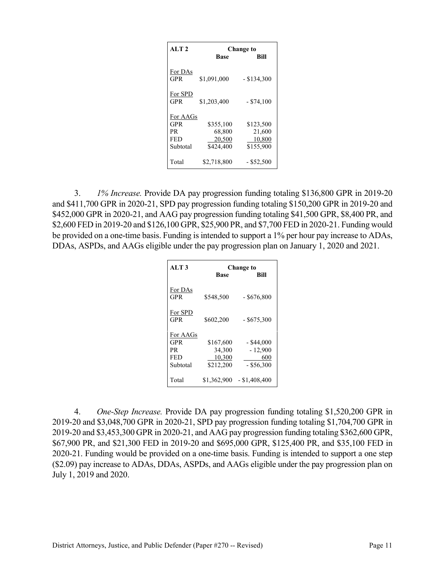| AI.T2          |             | Change to     |  |  |  |  |  |
|----------------|-------------|---------------|--|--|--|--|--|
|                | <b>Base</b> | <b>Bill</b>   |  |  |  |  |  |
| For DAs<br>GPR | \$1,091,000 | $-$ \$134,300 |  |  |  |  |  |
| For SPD<br>GPR | \$1,203,400 | $-$ \$74,100  |  |  |  |  |  |
| For AAGs       |             |               |  |  |  |  |  |
| GPR            | \$355,100   | \$123,500     |  |  |  |  |  |
| PR.            | 68,800      | 21,600        |  |  |  |  |  |
| <b>FED</b>     | 20,500      | 10,800        |  |  |  |  |  |
| Subtotal       | \$424,400   | \$155,900     |  |  |  |  |  |
| Total          | \$2,718,800 | $-$ \$52,500  |  |  |  |  |  |

3. *1% Increase.* Provide DA pay progression funding totaling \$136,800 GPR in 2019-20 and \$411,700 GPR in 2020-21, SPD pay progression funding totaling \$150,200 GPR in 2019-20 and \$452,000 GPR in 2020-21, and AAG pay progression funding totaling \$41,500 GPR, \$8,400 PR, and \$2,600 FED in 2019-20 and \$126,100 GPR, \$25,900 PR, and \$7,700 FED in 2020-21. Funding would be provided on a one-time basis. Funding is intended to support a 1% per hour pay increase to ADAs, DDAs, ASPDs, and AAGs eligible under the pay progression plan on January 1, 2020 and 2021.

| AI.T3                 |             | Change to       |
|-----------------------|-------------|-----------------|
|                       | <b>Base</b> | Bill            |
| For DAs<br><b>GPR</b> | \$548,500   | $-$ \$676,800   |
| For SPD<br><b>GPR</b> | \$602,200   | $-$ \$675,300   |
| For AAGs              |             |                 |
| GPR                   | \$167,600   | $-$ \$44,000    |
| PR.                   | 34,300      | $-12,900$       |
| FED                   | 10,300      | 600             |
| Subtotal              | \$212,200   | $-$ \$56,300    |
| Total                 | \$1,362,900 | $-$ \$1,408,400 |

4. *One-Step Increase.* Provide DA pay progression funding totaling \$1,520,200 GPR in 2019-20 and \$3,048,700 GPR in 2020-21, SPD pay progression funding totaling \$1,704,700 GPR in 2019-20 and \$3,453,300 GPR in 2020-21, and AAG pay progression funding totaling \$362,600 GPR, \$67,900 PR, and \$21,300 FED in 2019-20 and \$695,000 GPR, \$125,400 PR, and \$35,100 FED in 2020-21. Funding would be provided on a one-time basis. Funding is intended to support a one step (\$2.09) pay increase to ADAs, DDAs, ASPDs, and AAGs eligible under the pay progression plan on July 1, 2019 and 2020.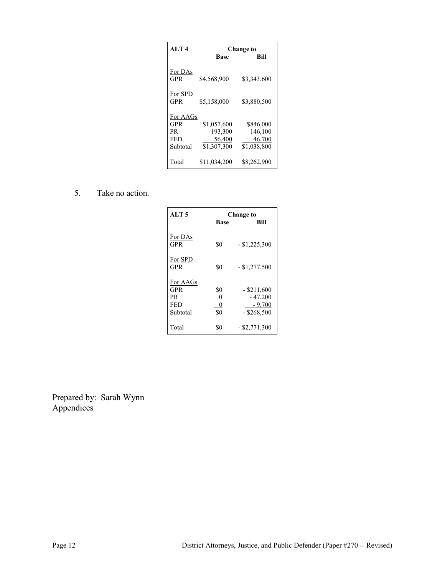| AI.T4                 |              | <b>Change to</b> |  |  |  |  |  |
|-----------------------|--------------|------------------|--|--|--|--|--|
|                       | <b>Base</b>  | Bill             |  |  |  |  |  |
| For DAs<br><b>GPR</b> | \$4,568,900  | \$3,343,600      |  |  |  |  |  |
| For SPD<br><b>GPR</b> | \$5,158,000  | \$3,880,500      |  |  |  |  |  |
| For AAGs              |              |                  |  |  |  |  |  |
| GPR                   | \$1,057,600  | \$846,000        |  |  |  |  |  |
| PR                    | 193,300      | 146,100          |  |  |  |  |  |
| <b>FED</b>            | 56,400       | 46,700           |  |  |  |  |  |
| Subtotal              | \$1,307,300  | \$1,038,800      |  |  |  |  |  |
| Total                 | \$11,034,200 | \$8,262,900      |  |  |  |  |  |

5. Take no action.

| ALT <sub>5</sub>                           | <b>Change to</b>     |                                        |  |  |  |  |
|--------------------------------------------|----------------------|----------------------------------------|--|--|--|--|
|                                            | <b>Base</b>          | Bill                                   |  |  |  |  |
| For DAs<br>GPR                             | \$0                  | $-$ \$1,225,300                        |  |  |  |  |
| For SPD<br><b>GPR</b>                      | \$0                  | $-$ \$1,277,500                        |  |  |  |  |
| For AAGs<br><b>GPR</b><br>PR<br><b>FED</b> | \$0<br>0<br>0<br>\$0 | $-$ \$211,600<br>$-47,200$<br>$-9.700$ |  |  |  |  |
| Subtotal<br>Total                          | \$0                  | $-$ \$268,500<br>$-$ \$2,771,300       |  |  |  |  |

Prepared by: Sarah Wynn Appendices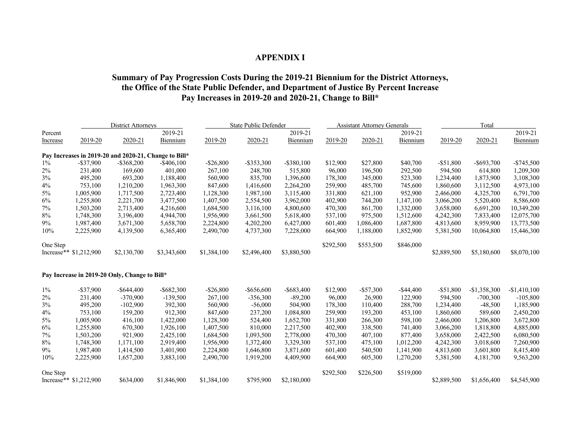### **APPENDIX I**

### **Summary of Pay Progression Costs During the 2019-21 Biennium for the District Attorneys, the Office of the State Public Defender, and Department of Justice By Percent Increase Pay Increases in 2019-20 and 2020-21, Change to Bill\***

|          | <b>District Attorneys</b> |                                                       |               | State Public Defender |               | <b>Assistant Attorney Generals</b> |           |              | Total        |              |               |               |
|----------|---------------------------|-------------------------------------------------------|---------------|-----------------------|---------------|------------------------------------|-----------|--------------|--------------|--------------|---------------|---------------|
| Percent  |                           |                                                       | 2019-21       |                       |               | 2019-21                            |           |              | 2019-21      |              |               | 2019-21       |
| Increase | 2019-20                   | 2020-21                                               | Biennium      | 2019-20               | 2020-21       | Biennium                           | 2019-20   | 2020-21      | Biennium     | 2019-20      | 2020-21       | Biennium      |
|          |                           | Pay Increases in 2019-20 and 2020-21, Change to Bill* |               |                       |               |                                    |           |              |              |              |               |               |
| $1\%$    | $-$ \$37,900              | $-$ \$368,200                                         | $-$ \$406,100 | $-$26,800$            | $-$ \$353,300 | $-$ \$380,100                      | \$12,900  | \$27,800     | \$40,700     | $-$ \$51,800 | $-$ \$693,700 | $-$ \$745,500 |
| 2%       | 231,400                   | 169,600                                               | 401,000       | 267,100               | 248,700       | 515,800                            | 96,000    | 196,500      | 292,500      | 594,500      | 614,800       | 1,209,300     |
| $3\%$    | 495,200                   | 693,200                                               | 1,188,400     | 560,900               | 835,700       | 1,396,600                          | 178,300   | 345,000      | 523,300      | 1,234,400    | 1,873,900     | 3,108,300     |
| 4%       | 753,100                   | 1,210,200                                             | 1,963,300     | 847,600               | 1,416,600     | 2,264,200                          | 259,900   | 485,700      | 745,600      | 1,860,600    | 3,112,500     | 4,973,100     |
| 5%       | 1,005,900                 | 1,717,500                                             | 2,723,400     | 1,128,300             | 1,987,100     | 3,115,400                          | 331,800   | 621,100      | 952,900      | 2,466,000    | 4,325,700     | 6,791,700     |
| 6%       | 1,255,800                 | 2,221,700                                             | 3,477,500     | 1,407,500             | 2,554,500     | 3,962,000                          | 402,900   | 744,200      | 1,147,100    | 3,066,200    | 5,520,400     | 8,586,600     |
| $7\%$    | 1,503,200                 | 2,713,400                                             | 4,216,600     | 1,684,500             | 3,116,100     | 4,800,600                          | 470,300   | 861,700      | 1,332,000    | 3,658,000    | 6,691,200     | 10,349,200    |
| $8\%$    | 1,748,300                 | 3,196,400                                             | 4,944,700     | 1,956,900             | 3,661,500     | 5,618,400                          | 537,100   | 975,500      | 1,512,600    | 4,242,300    | 7,833,400     | 12,075,700    |
| 9%       | 1,987,400                 | 3,671,300                                             | 5,658,700     | 2,224,800             | 4,202,200     | 6,427,000                          | 601,400   | 1,086,400    | 1,687,800    | 4,813,600    | 8,959,900     | 13,773,500    |
| 10%      | 2,225,900                 | 4,139,500                                             | 6,365,400     | 2,490,700             | 4,737,300     | 7,228,000                          | 664,900   | 1,188,000    | 1,852,900    | 5,381,500    | 10,064,800    | 15,446,300    |
| One Step |                           |                                                       |               |                       |               |                                    | \$292,500 | \$553,500    | \$846,000    |              |               |               |
|          | Increase** \$1,212,900    | \$2,130,700                                           | \$3,343,600   | \$1,384,100           | \$2,496,400   | \$3,880,500                        |           |              |              | \$2,889,500  | \$5,180,600   | \$8,070,100   |
|          |                           | Pay Increase in 2019-20 Only, Change to Bill*         |               |                       |               |                                    |           |              |              |              |               |               |
| $1\%$    | $-$ \$37,900              | $-$ \$644,400                                         | $-$ \$682,300 | $-$26,800$            | $-$ \$656,600 | $-$ \$683,400                      | \$12,900  | $-$ \$57,300 | $-$ \$44,400 | $-$ \$51,800 | $-$1,358,300$ | $-$1,410,100$ |
| 2%       | 231,400                   | $-370,900$                                            | $-139,500$    | 267,100               | $-356,300$    | $-89,200$                          | 96,000    | 26,900       | 122,900      | 594,500      | $-700,300$    | $-105,800$    |
| 3%       | 495,200                   | $-102,900$                                            | 392,300       | 560,900               | $-56,000$     | 504,900                            | 178,300   | 110,400      | 288,700      | 1,234,400    | $-48,500$     | 1,185,900     |
| 4%       | 753,100                   | 159,200                                               | 912,300       | 847,600               | 237,200       | 1,084,800                          | 259,900   | 193,200      | 453,100      | 1,860,600    | 589,600       | 2,450,200     |
| $5\%$    | 1,005,900                 | 416,100                                               | 1,422,000     | 1,128,300             | 524,400       | 1,652,700                          | 331,800   | 266,300      | 598,100      | 2,466,000    | 1,206,800     | 3,672,800     |
| 6%       | 1,255,800                 | 670,300                                               | 1,926,100     | 1,407,500             | 810,000       | 2,217,500                          | 402,900   | 338,500      | 741,400      | 3,066,200    | 1,818,800     | 4,885,000     |
| $7\%$    | 1,503,200                 | 921,900                                               | 2,425,100     | 1,684,500             | 1,093,500     | 2,778,000                          | 470,300   | 407,100      | 877,400      | 3,658,000    | 2,422,500     | 6,080,500     |
| 8%       | 1,748,300                 | 1,171,100                                             | 2,919,400     | 1,956,900             | 1,372,400     | 3,329,300                          | 537,100   | 475,100      | 1,012,200    | 4,242,300    | 3,018,600     | 7,260,900     |
| 9%       | 1,987,400                 | 1,414,500                                             | 3,401,900     | 2,224,800             | 1,646,800     | 3,871,600                          | 601,400   | 540,500      | 1,141,900    | 4,813,600    | 3,601,800     | 8,415,400     |
| 10%      | 2,225,900                 | 1,657,200                                             | 3,883,100     | 2,490,700             | 1,919,200     | 4,409,900                          | 664,900   | 605,300      | 1,270,200    | 5,381,500    | 4,181,700     | 9,563,200     |
| One Step |                           |                                                       |               |                       |               |                                    | \$292,500 | \$226,500    | \$519,000    |              |               |               |
|          | Increase** \$1,212,900    | \$634,000                                             | \$1,846,900   | \$1,384,100           | \$795,900     | \$2,180,000                        |           |              |              | \$2,889,500  | \$1,656,400   | \$4,545,900   |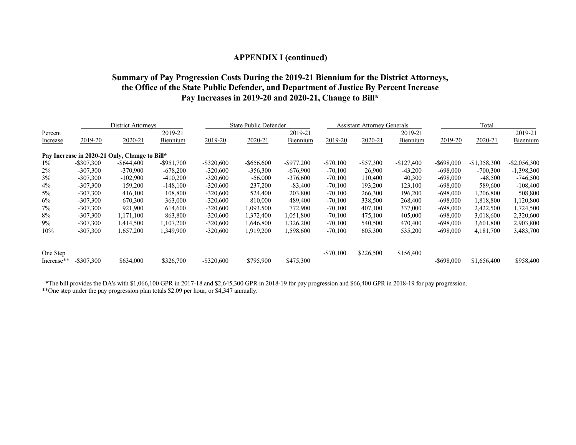### **APPENDIX I (continued)**

### **Summary of Pay Progression Costs During the 2019-21 Biennium for the District Attorneys, the Office of the State Public Defender, and Department of Justice By Percent Increase Pay Increases in 2019-20 and 2020-21, Change to Bill\***

|            | District Attorneys |                                               |               | <b>State Public Defender</b> |               |               | Assistant Attorney Generals |              |             | Total         |               |                 |
|------------|--------------------|-----------------------------------------------|---------------|------------------------------|---------------|---------------|-----------------------------|--------------|-------------|---------------|---------------|-----------------|
| Percent    |                    |                                               | 2019-21       |                              |               | 2019-21       |                             |              | 2019-21     |               |               | 2019-21         |
| Increase   | 2019-20            | 2020-21                                       | Biennium      | 2019-20                      | 2020-21       | Biennium      | 2019-20                     | 2020-21      | Biennium    | 2019-20       | 2020-21       | Biennium        |
|            |                    | Pay Increase in 2020-21 Only, Change to Bill* |               |                              |               |               |                             |              |             |               |               |                 |
| $1\%$      | $-$ \$307,300      | $-$ \$644,400                                 | $-$ \$951,700 | $-$ \$320,600                | $-$ \$656,600 | $-$ \$977,200 | $-$70,100$                  | $-$ \$57,300 | $-$127,400$ | $-$ \$698,000 | $-$1,358,300$ | $-$ \$2,056,300 |
| $2\%$      | $-307,300$         | $-370,900$                                    | $-678,200$    | $-320,600$                   | $-356,300$    | $-676,900$    | $-70,100$                   | 26,900       | $-43,200$   | $-698,000$    | $-700,300$    | $-1,398,300$    |
| 3%         | $-307,300$         | $-102,900$                                    | $-410,200$    | $-320,600$                   | $-56,000$     | $-376,600$    | $-70,100$                   | 110,400      | 40,300      | $-698,000$    | $-48,500$     | $-746,500$      |
| $4\%$      | $-307,300$         | 159,200                                       | $-148,100$    | $-320,600$                   | 237,200       | $-83,400$     | $-70,100$                   | 193,200      | 123,100     | $-698,000$    | 589,600       | $-108,400$      |
| $5\%$      | $-307,300$         | 416,100                                       | 108,800       | $-320,600$                   | 524,400       | 203,800       | $-70,100$                   | 266,300      | 196,200     | $-698,000$    | 1,206,800     | 508,800         |
| 6%         | $-307,300$         | 670,300                                       | 363,000       | $-320,600$                   | 810,000       | 489,400       | $-70,100$                   | 338,500      | 268,400     | $-698,000$    | 1,818,800     | 1,120,800       |
| 7%         | $-307,300$         | 921.900                                       | 614,600       | $-320,600$                   | 1,093,500     | 772,900       | $-70,100$                   | 407,100      | 337,000     | $-698,000$    | 2,422,500     | 1,724,500       |
| 8%         | $-307,300$         | 1,171,100                                     | 863,800       | $-320,600$                   | 1,372,400     | 1,051,800     | $-70,100$                   | 475,100      | 405,000     | $-698,000$    | 3,018,600     | 2,320,600       |
| $9\%$      | $-307,300$         | 1,414,500                                     | 1,107,200     | $-320,600$                   | 1,646,800     | 1,326,200     | $-70,100$                   | 540,500      | 470,400     | $-698,000$    | 3,601,800     | 2,903,800       |
| 10%        | $-307,300$         | 1,657,200                                     | 1,349,900     | $-320,600$                   | 1,919,200     | 1,598,600     | $-70,100$                   | 605,300      | 535,200     | $-698,000$    | 4,181,700     | 3,483,700       |
| One Step   |                    |                                               |               |                              |               |               | $-$70,100$                  | \$226,500    | \$156,400   |               |               |                 |
| Increase** | $-$ \$307,300      | \$634,000                                     | \$326,700     | $-$ \$320,600                | \$795,900     | \$475,300     |                             |              |             | $-$ \$698,000 | \$1,656,400   | \$958,400       |

\*The bill provides the DA's with \$1,066,100 GPR in 2017-18 and \$2,645,300 GPR in 2018-19 for pay progression and \$66,400 GPR in 2018-19 for pay progression. \*\*One step under the pay progression plan totals \$2.09 per hour, or \$4,347 annually.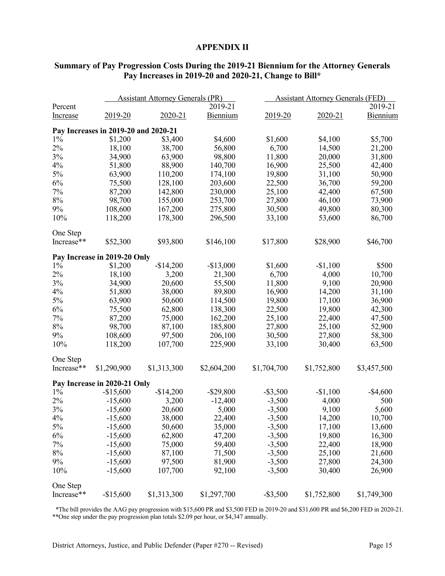#### **APPENDIX II**

|                 |                                      | <b>Assistant Attorney Generals (PR)</b> |              | <b>Assistant Attorney Generals (FED)</b> |             |             |  |
|-----------------|--------------------------------------|-----------------------------------------|--------------|------------------------------------------|-------------|-------------|--|
| Percent         |                                      |                                         | 2019-21      |                                          |             | 2019-21     |  |
| <b>Increase</b> | 2019-20                              | 2020-21                                 | Biennium     | 2019-20                                  | $2020 - 21$ | Biennium    |  |
|                 | Pay Increases in 2019-20 and 2020-21 |                                         |              |                                          |             |             |  |
| $1\%$           | \$1,200                              | \$3,400                                 | \$4,600      | \$1,600                                  | \$4,100     | \$5,700     |  |
| 2%              | 18,100                               | 38,700                                  | 56,800       | 6,700                                    | 14,500      | 21,200      |  |
| 3%              | 34,900                               | 63,900                                  | 98,800       | 11,800                                   | 20,000      | 31,800      |  |
| 4%              | 51,800                               | 88,900                                  | 140,700      | 16,900                                   | 25,500      | 42,400      |  |
| 5%              | 63,900                               | 110,200                                 | 174,100      | 19,800                                   | 31,100      | 50,900      |  |
| 6%              | 75,500                               | 128,100                                 | 203,600      | 22,500                                   | 36,700      | 59,200      |  |
| 7%              | 87,200                               | 142,800                                 | 230,000      | 25,100                                   | 42,400      | 67,500      |  |
| $8\%$           | 98,700                               | 155,000                                 | 253,700      | 27,800                                   | 46,100      | 73,900      |  |
| 9%              | 108,600                              | 167,200                                 | 275,800      | 30,500                                   | 49,800      | 80,300      |  |
| 10%             | 118,200                              | 178,300                                 | 296,500      | 33,100                                   | 53,600      | 86,700      |  |
| One Step        |                                      |                                         |              |                                          |             |             |  |
| Increase**      | \$52,300                             | \$93,800                                | \$146,100    | \$17,800                                 | \$28,900    | \$46,700    |  |
|                 | Pay Increase in 2019-20 Only         |                                         |              |                                          |             |             |  |
| $1\%$           | \$1,200                              | $-$14,200$                              | $-$13,000$   | \$1,600                                  | $-$1,100$   | \$500       |  |
| 2%              | 18,100                               | 3,200                                   | 21,300       | 6,700                                    | 4,000       | 10,700      |  |
| 3%              | 34,900                               | 20,600                                  | 55,500       | 11,800                                   | 9,100       | 20,900      |  |
| 4%              | 51,800                               | 38,000                                  | 89,800       | 16,900                                   | 14,200      | 31,100      |  |
| 5%              | 63,900                               | 50,600                                  | 114,500      | 19,800                                   | 17,100      | 36,900      |  |
| 6%              | 75,500                               | 62,800                                  | 138,300      | 22,500                                   | 19,800      | 42,300      |  |
| 7%              | 87,200                               | 75,000                                  | 162,200      | 25,100                                   | 22,400      | 47,500      |  |
| $8\%$           | 98,700                               | 87,100                                  | 185,800      | 27,800                                   | 25,100      | 52,900      |  |
| 9%              | 108,600                              | 97,500                                  | 206,100      | 30,500                                   | 27,800      | 58,300      |  |
| 10%             | 118,200                              | 107,700                                 | 225,900      | 33,100                                   | 30,400      | 63,500      |  |
| One Step        |                                      |                                         |              |                                          |             |             |  |
| Increase**      | \$1,290,900                          | \$1,313,300                             | \$2,604,200  | \$1,704,700                              | \$1,752,800 | \$3,457,500 |  |
|                 | Pay Increase in 2020-21 Only         |                                         |              |                                          |             |             |  |
| $1\%$           | $-$15,600$                           | $-$14,200$                              | $-$ \$29,800 | $-$ \$3,500                              | $-$1,100$   | $-$4,600$   |  |
| 2%              | $-15,600$                            | 3,200                                   | $-12,400$    | $-3,500$                                 | 4,000       | 500         |  |
| 3%              | $-15,600$                            | 20,600                                  | 5,000        | $-3,500$                                 | 9,100       | 5,600       |  |
| 4%              | $-15,600$                            | 38,000                                  | 22,400       | $-3,500$                                 | 14,200      | 10,700      |  |
| 5%              | $-15,600$                            | 50,600                                  | 35,000       | $-3,500$                                 | 17,100      | 13,600      |  |
| 6%              | $-15,600$                            | 62,800                                  | 47,200       | $-3,500$                                 | 19,800      | 16,300      |  |
| 7%              | $-15,600$                            | 75,000                                  | 59,400       | $-3,500$                                 | 22,400      | 18,900      |  |
| $8\%$           | $-15,600$                            | 87,100                                  | 71,500       | $-3,500$                                 | 25,100      | 21,600      |  |
| 9%              | $-15,600$                            | 97,500                                  | 81,900       | $-3,500$                                 | 27,800      | 24,300      |  |
| 10%             | $-15,600$                            | 107,700                                 | 92,100       | $-3,500$                                 | 30,400      | 26,900      |  |
| One Step        |                                      |                                         |              |                                          |             |             |  |
| Increase**      | $-$15,600$                           | \$1,313,300                             | \$1,297,700  | $-$ \$3,500                              | \$1,752,800 | \$1,749,300 |  |

# **Summary of Pay Progression Costs During the 2019-21 Biennium for the Attorney Generals Pay Increases in 2019-20 and 2020-21, Change to Bill\***

 \*The bill provides the AAG pay progression with \$15,600 PR and \$3,500 FED in 2019-20 and \$31,600 PR and \$6,200 FED in 2020-21. \*\*One step under the pay progression plan totals \$2.09 per hour, or \$4,347 annually.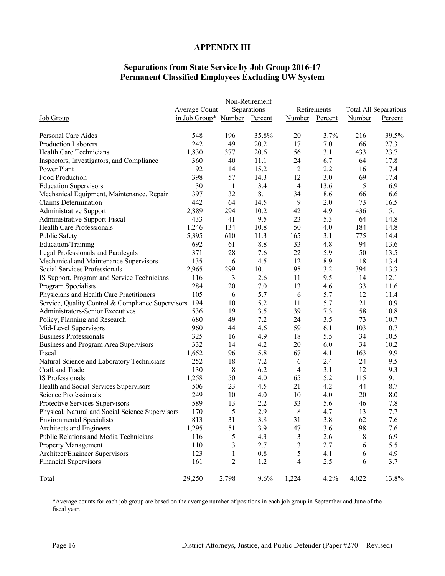#### **APPENDIX III**

# **Separations from State Service by Job Group 2016-17 Permanent Classified Employees Excluding UW System**

| <b>Job Group</b>                                  | Average Count                | Separations    |         | Retirements    |         | <b>Total All Separations</b> |         |
|---------------------------------------------------|------------------------------|----------------|---------|----------------|---------|------------------------------|---------|
|                                                   | in Job Group* Number Percent |                |         | <b>Number</b>  | Percent | Number                       | Percent |
| Personal Care Aides                               | 548                          | 196            | 35.8%   | 20             | 3.7%    | 216                          | 39.5%   |
| <b>Production Laborers</b>                        | 242                          | 49             | 20.2    | 17             | 7.0     | 66                           | 27.3    |
| Health Care Technicians                           | 1,830                        | 377            | 20.6    | 56             | 3.1     | 433                          | 23.7    |
| Inspectors, Investigators, and Compliance         | 360                          | 40             | 11.1    | 24             | 6.7     | 64                           | 17.8    |
| Power Plant                                       | 92                           | 14             | 15.2    | 2              | 2.2     | 16                           | 17.4    |
| Food Production                                   | 398                          | 57             | 14.3    | 12             | 3.0     | 69                           | 17.4    |
| <b>Education Supervisors</b>                      | 30                           | -1             | 3.4     | 4              | 13.6    | 5                            | 16.9    |
| Mechanical Equipment, Maintenance, Repair         | 397                          | 32             | 8.1     | 34             | 8.6     | 66                           | 16.6    |
| Claims Determination                              | 442                          | 64             | 14.5    | 9              | 2.0     | 73                           | 16.5    |
| <b>Administrative Support</b>                     | 2,889                        | 294            | 10.2    | 142            | 4.9     | 436                          | 15.1    |
| Administrative Support-Fiscal                     | 433                          | 41             | 9.5     | 23             | 5.3     | 64                           | 14.8    |
| Health Care Professionals                         | 1,246                        | 134            | 10.8    | 50             | 4.0     | 184                          | 14.8    |
| Public Safety                                     | 5,395                        | 610            | 11.3    | 165            | 3.1     | 775                          | 14.4    |
| Education/Training                                | 692                          | 61             | 8.8     | 33             | 4.8     | 94                           | 13.6    |
| Legal Professionals and Paralegals                | 371                          | 28             | 7.6     | 22             | 5.9     | 50                           | 13.5    |
| Mechanical and Maintenance Supervisors            | 135                          | 6              | 4.5     | 12             | 8.9     | 18                           | 13.4    |
| Social Services Professionals                     | 2,965                        | 299            | 10.1    | 95             | 3.2     | 394                          | 13.3    |
| IS Support, Program and Service Technicians       | 116                          | 3              | 2.6     | 11             | 9.5     | 14                           | 12.1    |
| Program Specialists                               | 284                          | 20             | 7.0     | 13             | 4.6     | 33                           | 11.6    |
| Physicians and Health Care Practitioners          | 105                          | 6              | 5.7     | 6              | 5.7     | 12                           | 11.4    |
| Service, Quality Control & Compliance Supervisors | 194                          | 10             | 5.2     | 11             | 5.7     | 21                           | 10.9    |
| Administrators-Senior Executives                  | 536                          | 19             | 3.5     | 39             | 7.3     | 58                           | 10.8    |
|                                                   | 680                          | 49             | 7.2     | 24             | 3.5     | 73                           | 10.7    |
| Policy, Planning and Research                     | 960                          | 44             | 4.6     | 59             | 6.1     | 103                          | 10.7    |
| Mid-Level Supervisors                             | 325                          | 16             | 4.9     | 18             | 5.5     | 34                           | 10.5    |
| <b>Business Professionals</b>                     |                              |                |         |                |         |                              |         |
| Business and Program Area Supervisors             | 332                          | 14             | 4.2     | 20             | 6.0     | 34                           | 10.2    |
| Fiscal                                            | 1,652                        | 96             | 5.8     | 67             | 4.1     | 163                          | 9.9     |
| Natural Science and Laboratory Technicians        | 252                          | 18             | 7.2     | 6              | 2.4     | 24                           | 9.5     |
| Craft and Trade                                   | 130                          | 8              | 6.2     | 4              | 3.1     | 12                           | 9.3     |
| IS Professionals                                  | 1,258                        | 50             | 4.0     | 65             | 5.2     | 115                          | 9.1     |
| Health and Social Services Supervisors            | 506                          | 23             | 4.5     | 21             | 4.2     | 44                           | 8.7     |
| Science Professionals                             | 249                          | 10             | 4.0     | 10             | 4.0     | 20                           | 8.0     |
| Protective Services Supervisors                   | 589                          | 13             | 2.2     | 33             | 5.6     | 46                           | 7.8     |
| Physical, Natural and Social Science Supervisors  | 170                          | 5              | 2.9     | 8              | 4.7     | 13                           | 7.7     |
| <b>Environmental Specialists</b>                  | 813                          | 31             | 3.8     | 31             | 3.8     | 62                           | 7.6     |
| Architects and Engineers                          | 1,295                        | 51             | 3.9     | 47             | 3.6     | 98                           | 7.6     |
| Public Relations and Media Technicians            | 116                          | 5              | 4.3     | 3              | 2.6     | 8                            | 6.9     |
| <b>Property Management</b>                        | 110                          | 3              | 2.7     | 3              | 2.7     | 6                            | 5.5     |
| Architect/Engineer Supervisors                    | 123                          | 1              | $0.8\,$ | 5              | 4.1     | 6                            | 4.9     |
| <b>Financial Supervisors</b>                      | 161                          | $\overline{2}$ | 1.2     | $\overline{4}$ | 2.5     | 6                            | 3.7     |
| Total                                             | 29,250                       | 2,798          | 9.6%    | 1,224          | 4.2%    | 4,022                        | 13.8%   |

\*Average counts for each job group are based on the average number of positions in each job group in September and June of the fiscal year.